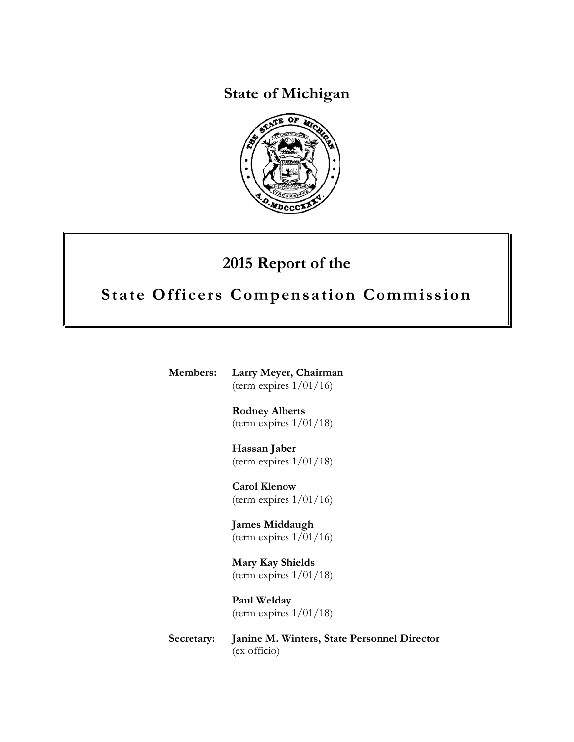**State of Michigan**



# **2015 Report of the**

# **State Officers Compensation Commission**

**Members: Larry Meyer, Chairman** (term expires 1/01/16)

> **Rodney Alberts** (term expires  $1/01/18$ )

> **Hassan Jaber** (term expires  $1/01/18$ )

**Carol Klenow** (term expires  $1/01/16$ )

**James Middaugh** (term expires  $1/01/16$ )

**Mary Kay Shields** (term expires  $1/01/18$ )

**Paul Welday** (term expires 1/01/18)

**Secretary: Janine M. Winters, State Personnel Director** (ex officio)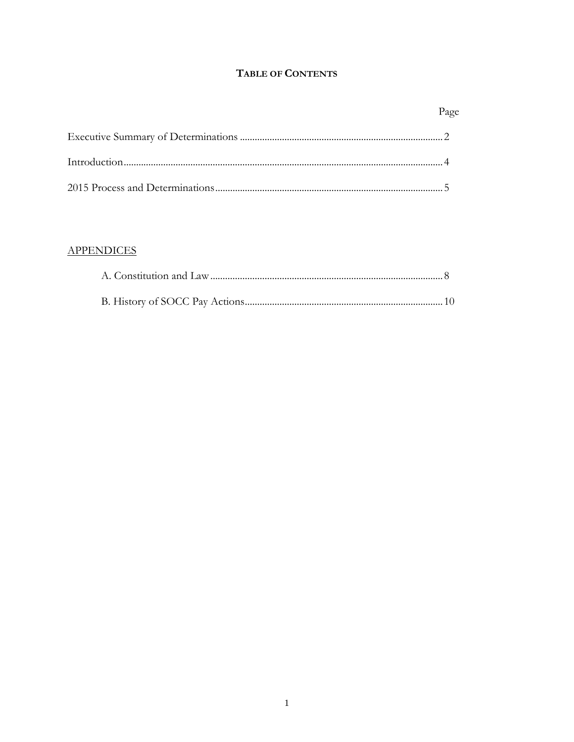### TABLE OF CONTENTS

### **APPENDICES**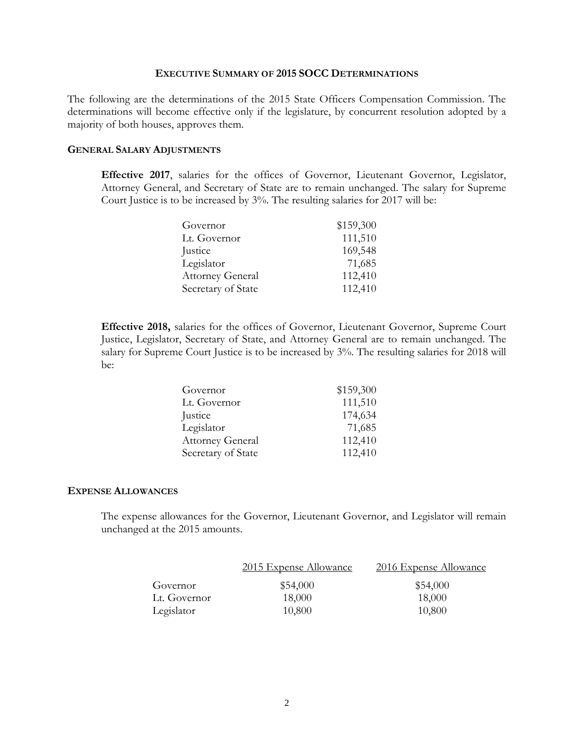#### **EXECUTIVE SUMMARY OF 2015 SOCC DETERMINATIONS**

The following are the determinations of the 2015 State Officers Compensation Commission. The determinations will become effective only if the legislature, by concurrent resolution adopted by a majority of both houses, approves them.

#### **GENERAL SALARY ADJUSTMENTS**

**Effective 2017**, salaries for the offices of Governor, Lieutenant Governor, Legislator, Attorney General, and Secretary of State are to remain unchanged. The salary for Supreme Court Justice is to be increased by 3%. The resulting salaries for 2017 will be:

| Governor                | \$159,300 |
|-------------------------|-----------|
| Lt. Governor            | 111,510   |
| Justice                 | 169,548   |
| Legislator              | 71,685    |
| <b>Attorney General</b> | 112,410   |
| Secretary of State      | 112,410   |

**Effective 2018,** salaries for the offices of Governor, Lieutenant Governor, Supreme Court Justice, Legislator, Secretary of State, and Attorney General are to remain unchanged. The salary for Supreme Court Justice is to be increased by 3%. The resulting salaries for 2018 will be:

| Governor                | \$159,300 |
|-------------------------|-----------|
| Lt. Governor            | 111,510   |
| Justice                 | 174,634   |
| Legislator              | 71,685    |
| <b>Attorney General</b> | 112,410   |
| Secretary of State      | 112,410   |

#### **EXPENSE ALLOWANCES**

The expense allowances for the Governor, Lieutenant Governor, and Legislator will remain unchanged at the 2015 amounts.

|              | 2015 Expense Allowance | 2016 Expense Allowance |
|--------------|------------------------|------------------------|
| Governor     | \$54,000               | \$54,000               |
| Lt. Governor | 18,000                 | 18,000                 |
| Legislator   | 10,800                 | 10,800                 |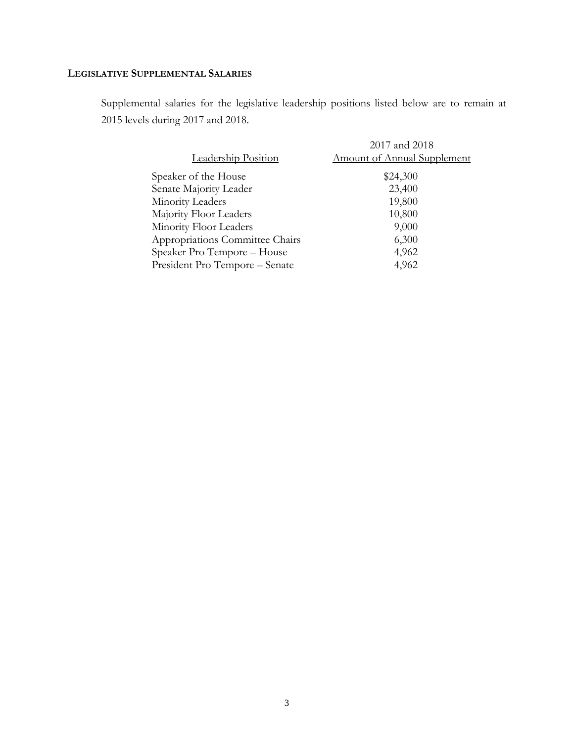### **LEGISLATIVE SUPPLEMENTAL SALARIES**

Supplemental salaries for the legislative leadership positions listed below are to remain at 2015 levels during 2017 and 2018.

|                                 | 2017 and 2018                      |
|---------------------------------|------------------------------------|
| Leadership Position             | <b>Amount of Annual Supplement</b> |
| Speaker of the House            | \$24,300                           |
| Senate Majority Leader          | 23,400                             |
| Minority Leaders                | 19,800                             |
| Majority Floor Leaders          | 10,800                             |
| Minority Floor Leaders          | 9,000                              |
| Appropriations Committee Chairs | 6,300                              |
| Speaker Pro Tempore - House     | 4,962                              |
| President Pro Tempore - Senate  | 4,962                              |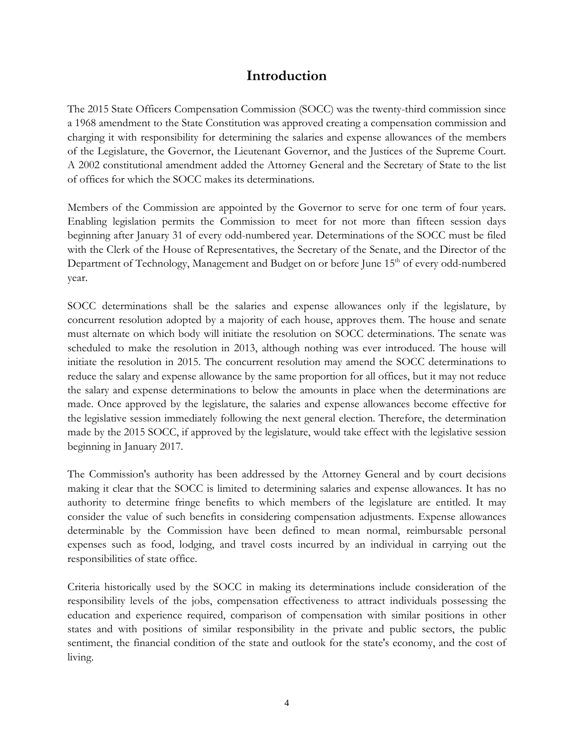### **Introduction**

The 2015 State Officers Compensation Commission (SOCC) was the twenty-third commission since a 1968 amendment to the State Constitution was approved creating a compensation commission and charging it with responsibility for determining the salaries and expense allowances of the members of the Legislature, the Governor, the Lieutenant Governor, and the Justices of the Supreme Court. A 2002 constitutional amendment added the Attorney General and the Secretary of State to the list of offices for which the SOCC makes its determinations.

Members of the Commission are appointed by the Governor to serve for one term of four years. Enabling legislation permits the Commission to meet for not more than fifteen session days beginning after January 31 of every odd-numbered year. Determinations of the SOCC must be filed with the Clerk of the House of Representatives, the Secretary of the Senate, and the Director of the Department of Technology, Management and Budget on or before June 15<sup>th</sup> of every odd-numbered year.

SOCC determinations shall be the salaries and expense allowances only if the legislature, by concurrent resolution adopted by a majority of each house, approves them. The house and senate must alternate on which body will initiate the resolution on SOCC determinations. The senate was scheduled to make the resolution in 2013, although nothing was ever introduced. The house will initiate the resolution in 2015. The concurrent resolution may amend the SOCC determinations to reduce the salary and expense allowance by the same proportion for all offices, but it may not reduce the salary and expense determinations to below the amounts in place when the determinations are made. Once approved by the legislature, the salaries and expense allowances become effective for the legislative session immediately following the next general election. Therefore, the determination made by the 2015 SOCC, if approved by the legislature, would take effect with the legislative session beginning in January 2017.

The Commission's authority has been addressed by the Attorney General and by court decisions making it clear that the SOCC is limited to determining salaries and expense allowances. It has no authority to determine fringe benefits to which members of the legislature are entitled. It may consider the value of such benefits in considering compensation adjustments. Expense allowances determinable by the Commission have been defined to mean normal, reimbursable personal expenses such as food, lodging, and travel costs incurred by an individual in carrying out the responsibilities of state office.

Criteria historically used by the SOCC in making its determinations include consideration of the responsibility levels of the jobs, compensation effectiveness to attract individuals possessing the education and experience required, comparison of compensation with similar positions in other states and with positions of similar responsibility in the private and public sectors, the public sentiment, the financial condition of the state and outlook for the state's economy, and the cost of living.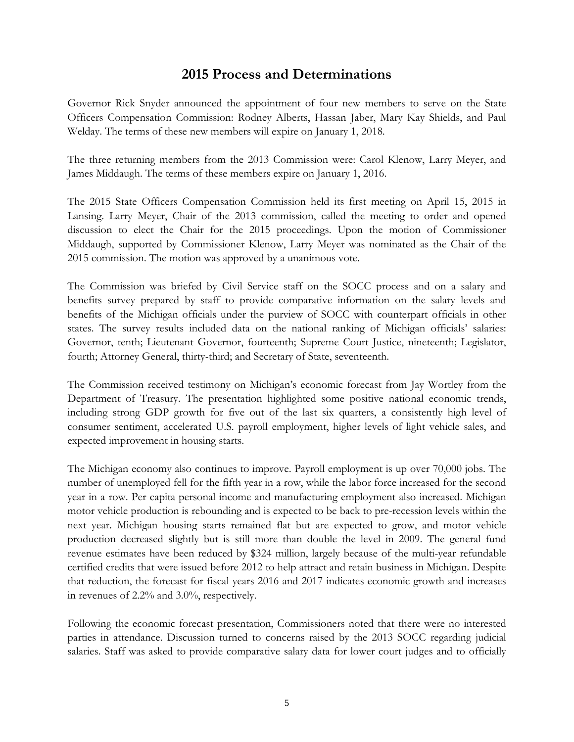### **2015 Process and Determinations**

Governor Rick Snyder announced the appointment of four new members to serve on the State Officers Compensation Commission: Rodney Alberts, Hassan Jaber, Mary Kay Shields, and Paul Welday. The terms of these new members will expire on January 1, 2018.

The three returning members from the 2013 Commission were: Carol Klenow, Larry Meyer, and James Middaugh. The terms of these members expire on January 1, 2016.

The 2015 State Officers Compensation Commission held its first meeting on April 15, 2015 in Lansing. Larry Meyer, Chair of the 2013 commission, called the meeting to order and opened discussion to elect the Chair for the 2015 proceedings. Upon the motion of Commissioner Middaugh, supported by Commissioner Klenow, Larry Meyer was nominated as the Chair of the 2015 commission. The motion was approved by a unanimous vote.

The Commission was briefed by Civil Service staff on the SOCC process and on a salary and benefits survey prepared by staff to provide comparative information on the salary levels and benefits of the Michigan officials under the purview of SOCC with counterpart officials in other states. The survey results included data on the national ranking of Michigan officials' salaries: Governor, tenth; Lieutenant Governor, fourteenth; Supreme Court Justice, nineteenth; Legislator, fourth; Attorney General, thirty-third; and Secretary of State, seventeenth.

The Commission received testimony on Michigan's economic forecast from Jay Wortley from the Department of Treasury. The presentation highlighted some positive national economic trends, including strong GDP growth for five out of the last six quarters, a consistently high level of consumer sentiment, accelerated U.S. payroll employment, higher levels of light vehicle sales, and expected improvement in housing starts.

The Michigan economy also continues to improve. Payroll employment is up over 70,000 jobs. The number of unemployed fell for the fifth year in a row, while the labor force increased for the second year in a row. Per capita personal income and manufacturing employment also increased. Michigan motor vehicle production is rebounding and is expected to be back to pre-recession levels within the next year. Michigan housing starts remained flat but are expected to grow, and motor vehicle production decreased slightly but is still more than double the level in 2009. The general fund revenue estimates have been reduced by \$324 million, largely because of the multi-year refundable certified credits that were issued before 2012 to help attract and retain business in Michigan. Despite that reduction, the forecast for fiscal years 2016 and 2017 indicates economic growth and increases in revenues of 2.2% and 3.0%, respectively.

Following the economic forecast presentation, Commissioners noted that there were no interested parties in attendance. Discussion turned to concerns raised by the 2013 SOCC regarding judicial salaries. Staff was asked to provide comparative salary data for lower court judges and to officially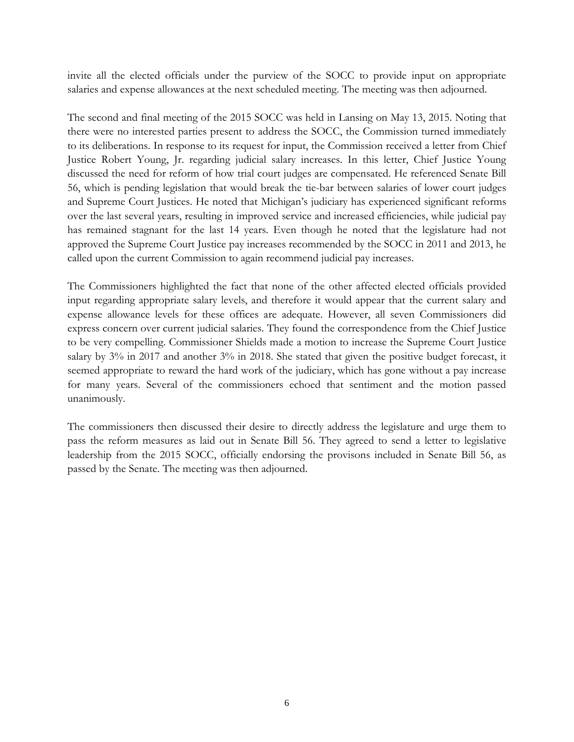invite all the elected officials under the purview of the SOCC to provide input on appropriate salaries and expense allowances at the next scheduled meeting. The meeting was then adjourned.

The second and final meeting of the 2015 SOCC was held in Lansing on May 13, 2015. Noting that there were no interested parties present to address the SOCC, the Commission turned immediately to its deliberations. In response to its request for input, the Commission received a letter from Chief Justice Robert Young, Jr. regarding judicial salary increases. In this letter, Chief Justice Young discussed the need for reform of how trial court judges are compensated. He referenced Senate Bill 56, which is pending legislation that would break the tie-bar between salaries of lower court judges and Supreme Court Justices. He noted that Michigan's judiciary has experienced significant reforms over the last several years, resulting in improved service and increased efficiencies, while judicial pay has remained stagnant for the last 14 years. Even though he noted that the legislature had not approved the Supreme Court Justice pay increases recommended by the SOCC in 2011 and 2013, he called upon the current Commission to again recommend judicial pay increases.

The Commissioners highlighted the fact that none of the other affected elected officials provided input regarding appropriate salary levels, and therefore it would appear that the current salary and expense allowance levels for these offices are adequate. However, all seven Commissioners did express concern over current judicial salaries. They found the correspondence from the Chief Justice to be very compelling. Commissioner Shields made a motion to increase the Supreme Court Justice salary by 3% in 2017 and another 3% in 2018. She stated that given the positive budget forecast, it seemed appropriate to reward the hard work of the judiciary, which has gone without a pay increase for many years. Several of the commissioners echoed that sentiment and the motion passed unanimously.

The commissioners then discussed their desire to directly address the legislature and urge them to pass the reform measures as laid out in Senate Bill 56. They agreed to send a letter to legislative leadership from the 2015 SOCC, officially endorsing the provisons included in Senate Bill 56, as passed by the Senate. The meeting was then adjourned.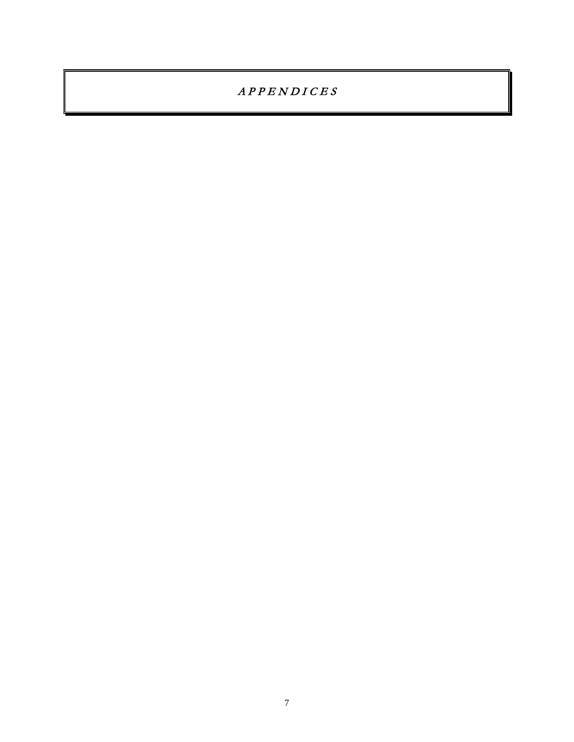$APPENDICES$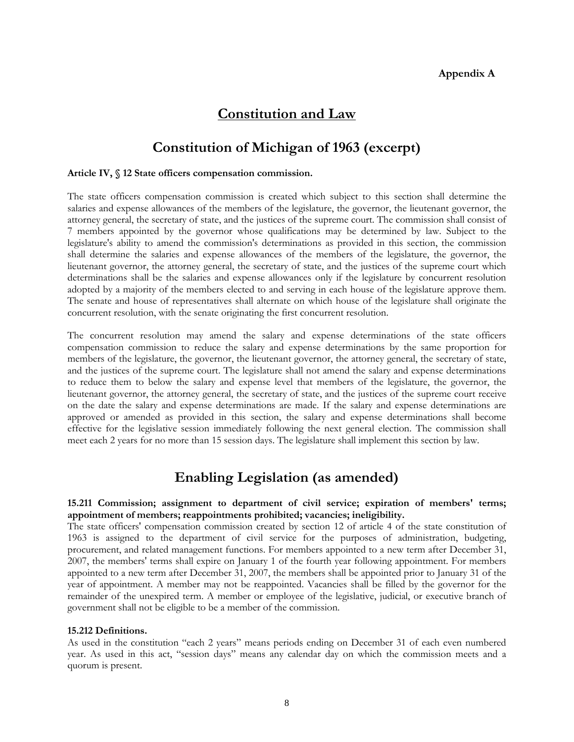### **Constitution and Law**

### **Constitution of Michigan of 1963 (excerpt)**

#### **Article IV, § 12 State officers compensation commission.**

The state officers compensation commission is created which subject to this section shall determine the salaries and expense allowances of the members of the legislature, the governor, the lieutenant governor, the attorney general, the secretary of state, and the justices of the supreme court. The commission shall consist of 7 members appointed by the governor whose qualifications may be determined by law. Subject to the legislature's ability to amend the commission's determinations as provided in this section, the commission shall determine the salaries and expense allowances of the members of the legislature, the governor, the lieutenant governor, the attorney general, the secretary of state, and the justices of the supreme court which determinations shall be the salaries and expense allowances only if the legislature by concurrent resolution adopted by a majority of the members elected to and serving in each house of the legislature approve them. The senate and house of representatives shall alternate on which house of the legislature shall originate the concurrent resolution, with the senate originating the first concurrent resolution.

The concurrent resolution may amend the salary and expense determinations of the state officers compensation commission to reduce the salary and expense determinations by the same proportion for members of the legislature, the governor, the lieutenant governor, the attorney general, the secretary of state, and the justices of the supreme court. The legislature shall not amend the salary and expense determinations to reduce them to below the salary and expense level that members of the legislature, the governor, the lieutenant governor, the attorney general, the secretary of state, and the justices of the supreme court receive on the date the salary and expense determinations are made. If the salary and expense determinations are approved or amended as provided in this section, the salary and expense determinations shall become effective for the legislative session immediately following the next general election. The commission shall meet each 2 years for no more than 15 session days. The legislature shall implement this section by law.

### **Enabling Legislation (as amended)**

#### **15.211 Commission; assignment to department of civil service; expiration of members' terms; appointment of members; reappointments prohibited; vacancies; ineligibility.**

The state officers' compensation commission created by section 12 of article 4 of the state constitution of 1963 is assigned to the department of civil service for the purposes of administration, budgeting, procurement, and related management functions. For members appointed to a new term after December 31, 2007, the members' terms shall expire on January 1 of the fourth year following appointment. For members appointed to a new term after December 31, 2007, the members shall be appointed prior to January 31 of the year of appointment. A member may not be reappointed. Vacancies shall be filled by the governor for the remainder of the unexpired term. A member or employee of the legislative, judicial, or executive branch of government shall not be eligible to be a member of the commission.

#### **15.212 Definitions.**

As used in the constitution "each 2 years" means periods ending on December 31 of each even numbered year. As used in this act, "session days" means any calendar day on which the commission meets and a quorum is present.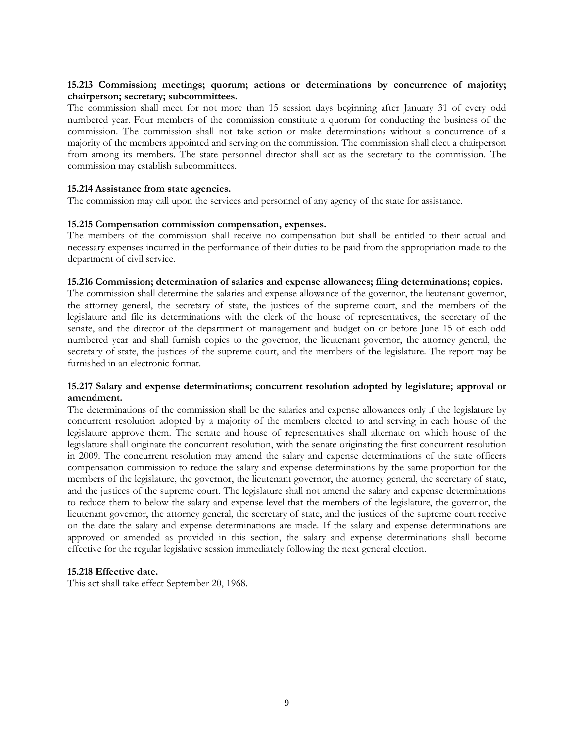#### **15.213 Commission; meetings; quorum; actions or determinations by concurrence of majority; chairperson; secretary; subcommittees.**

The commission shall meet for not more than 15 session days beginning after January 31 of every odd numbered year. Four members of the commission constitute a quorum for conducting the business of the commission. The commission shall not take action or make determinations without a concurrence of a majority of the members appointed and serving on the commission. The commission shall elect a chairperson from among its members. The state personnel director shall act as the secretary to the commission. The commission may establish subcommittees.

#### **15.214 Assistance from state agencies.**

The commission may call upon the services and personnel of any agency of the state for assistance.

#### **15.215 Compensation commission compensation, expenses.**

The members of the commission shall receive no compensation but shall be entitled to their actual and necessary expenses incurred in the performance of their duties to be paid from the appropriation made to the department of civil service.

#### **15.216 Commission; determination of salaries and expense allowances; filing determinations; copies.**

The commission shall determine the salaries and expense allowance of the governor, the lieutenant governor, the attorney general, the secretary of state, the justices of the supreme court, and the members of the legislature and file its determinations with the clerk of the house of representatives, the secretary of the senate, and the director of the department of management and budget on or before June 15 of each odd numbered year and shall furnish copies to the governor, the lieutenant governor, the attorney general, the secretary of state, the justices of the supreme court, and the members of the legislature. The report may be furnished in an electronic format.

#### **15.217 Salary and expense determinations; concurrent resolution adopted by legislature; approval or amendment.**

The determinations of the commission shall be the salaries and expense allowances only if the legislature by concurrent resolution adopted by a majority of the members elected to and serving in each house of the legislature approve them. The senate and house of representatives shall alternate on which house of the legislature shall originate the concurrent resolution, with the senate originating the first concurrent resolution in 2009. The concurrent resolution may amend the salary and expense determinations of the state officers compensation commission to reduce the salary and expense determinations by the same proportion for the members of the legislature, the governor, the lieutenant governor, the attorney general, the secretary of state, and the justices of the supreme court. The legislature shall not amend the salary and expense determinations to reduce them to below the salary and expense level that the members of the legislature, the governor, the lieutenant governor, the attorney general, the secretary of state, and the justices of the supreme court receive on the date the salary and expense determinations are made. If the salary and expense determinations are approved or amended as provided in this section, the salary and expense determinations shall become effective for the regular legislative session immediately following the next general election.

#### **15.218 Effective date.**

This act shall take effect September 20, 1968.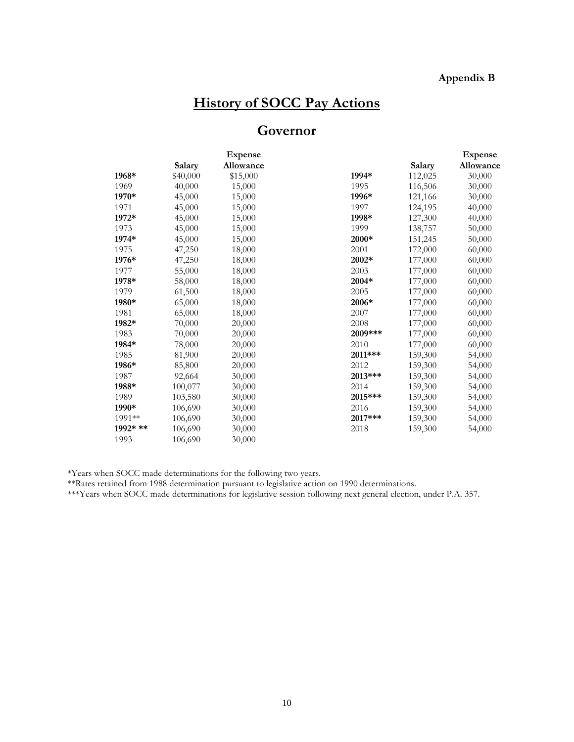### **Appendix B**

# **History of SOCC Pay Actions**

## **Governor**

|          |          | <b>Expense</b>   |         |         | <b>Expense</b> |
|----------|----------|------------------|---------|---------|----------------|
|          | Salary   | <b>Allowance</b> |         | Salary  | Allowance      |
| 1968*    | \$40,000 | \$15,000         | 1994*   | 112,025 | 30,000         |
| 1969     | 40,000   | 15,000           | 1995    | 116,506 | 30,000         |
| 1970*    | 45,000   | 15,000           | 1996*   | 121,166 | 30,000         |
| 1971     | 45,000   | 15,000           | 1997    | 124,195 | 40,000         |
| 1972*    | 45,000   | 15,000           | 1998*   | 127,300 | 40,000         |
| 1973     | 45,000   | 15,000           | 1999    | 138,757 | 50,000         |
| 1974*    | 45,000   | 15,000           | 2000*   | 151,245 | 50,000         |
| 1975     | 47,250   | 18,000           | 2001    | 172,000 | 60,000         |
| 1976*    | 47,250   | 18,000           | 2002*   | 177,000 | 60,000         |
| 1977     | 55,000   | 18,000           | 2003    | 177,000 | 60,000         |
| 1978*    | 58,000   | 18,000           | 2004*   | 177,000 | 60,000         |
| 1979     | 61,500   | 18,000           | 2005    | 177,000 | 60,000         |
| 1980*    | 65,000   | 18,000           | 2006*   | 177,000 | 60,000         |
| 1981     | 65,000   | 18,000           | 2007    | 177,000 | 60,000         |
| 1982*    | 70,000   | 20,000           | 2008    | 177,000 | 60,000         |
| 1983     | 70,000   | 20,000           | 2009*** | 177,000 | 60,000         |
| 1984*    | 78,000   | 20,000           | 2010    | 177,000 | 60,000         |
| 1985     | 81,900   | 20,000           | 2011*** | 159,300 | 54,000         |
| 1986*    | 85,800   | 20,000           | 2012    | 159,300 | 54,000         |
| 1987     | 92,664   | 30,000           | 2013*** | 159,300 | 54,000         |
| 1988*    | 100,077  | 30,000           | 2014    | 159,300 | 54,000         |
| 1989     | 103,580  | 30,000           | 2015*** | 159,300 | 54,000         |
| 1990*    | 106,690  | 30,000           | 2016    | 159,300 | 54,000         |
| 1991**   | 106,690  | 30,000           | 2017*** | 159,300 | 54,000         |
| 1992* ** | 106,690  | 30,000           | 2018    | 159,300 | 54,000         |
| 1993     | 106,690  | 30,000           |         |         |                |

\*Years when SOCC made determinations for the following two years.

\*\*Rates retained from 1988 determination pursuant to legislative action on 1990 determinations.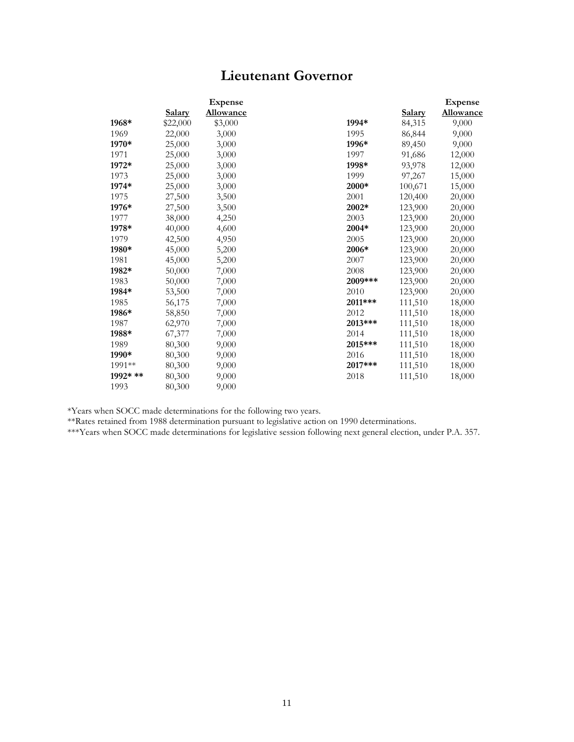## **Lieutenant Governor**

|          |               | <b>Expense</b>   |         |               | <b>Expense</b>   |
|----------|---------------|------------------|---------|---------------|------------------|
|          | <u>Salary</u> | <b>Allowance</b> |         | <b>Salary</b> | <b>Allowance</b> |
| 1968*    | \$22,000      | \$3,000          | 1994*   | 84,315        | 9,000            |
| 1969     | 22,000        | 3,000            | 1995    | 86,844        | 9,000            |
| 1970*    | 25,000        | 3,000            | 1996*   | 89,450        | 9,000            |
| 1971     | 25,000        | 3,000            | 1997    | 91,686        | 12,000           |
| 1972*    | 25,000        | 3,000            | 1998*   | 93,978        | 12,000           |
| 1973     | 25,000        | 3,000            | 1999    | 97,267        | 15,000           |
| 1974*    | 25,000        | 3,000            | 2000*   | 100,671       | 15,000           |
| 1975     | 27,500        | 3,500            | 2001    | 120,400       | 20,000           |
| 1976*    | 27,500        | 3,500            | 2002*   | 123,900       | 20,000           |
| 1977     | 38,000        | 4,250            | 2003    | 123,900       | 20,000           |
| 1978*    | 40,000        | 4,600            | 2004*   | 123,900       | 20,000           |
| 1979     | 42,500        | 4,950            | 2005    | 123,900       | 20,000           |
| 1980*    | 45,000        | 5,200            | 2006*   | 123,900       | 20,000           |
| 1981     | 45,000        | 5,200            | 2007    | 123,900       | 20,000           |
| 1982*    | 50,000        | 7,000            | 2008    | 123,900       | 20,000           |
| 1983     | 50,000        | 7,000            | 2009*** | 123,900       | 20,000           |
| 1984*    | 53,500        | 7,000            | 2010    | 123,900       | 20,000           |
| 1985     | 56,175        | 7,000            | 2011*** | 111,510       | 18,000           |
| 1986*    | 58,850        | 7,000            | 2012    | 111,510       | 18,000           |
| 1987     | 62,970        | 7,000            | 2013*** | 111,510       | 18,000           |
| 1988*    | 67,377        | 7,000            | 2014    | 111,510       | 18,000           |
| 1989     | 80,300        | 9,000            | 2015*** | 111,510       | 18,000           |
| 1990*    | 80,300        | 9,000            | 2016    | 111,510       | 18,000           |
| 1991**   | 80,300        | 9,000            | 2017*** | 111,510       | 18,000           |
| 1992* ** | 80,300        | 9,000            | 2018    | 111,510       | 18,000           |
| 1993     | 80,300        | 9,000            |         |               |                  |

\*Years when SOCC made determinations for the following two years.

\*\*Rates retained from 1988 determination pursuant to legislative action on 1990 determinations.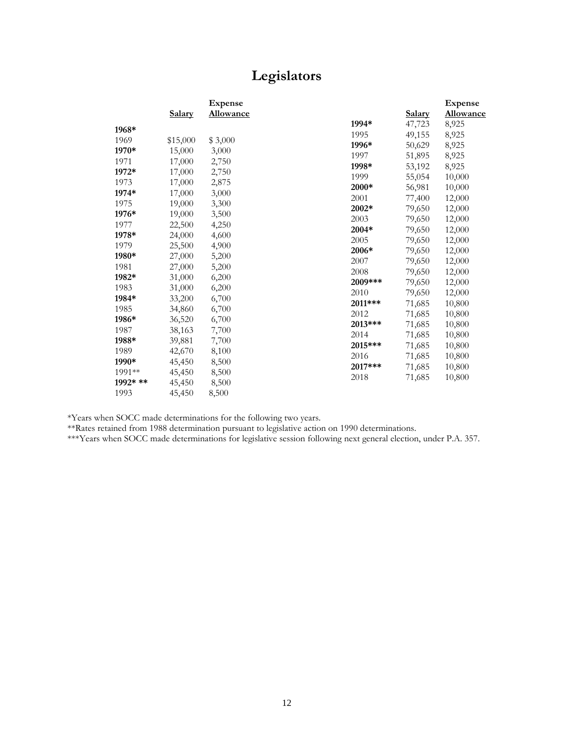## **Legislators**

|          |               | <b>Expense</b>   |         |        | <b>Expense</b>   |
|----------|---------------|------------------|---------|--------|------------------|
|          | <b>Salary</b> | <b>Allowance</b> |         | Salary | <b>Allowance</b> |
| 1968*    |               |                  | 1994*   | 47,723 | 8,925            |
| 1969     |               |                  | 1995    | 49,155 | 8,925            |
|          | \$15,000      | \$3,000          | 1996*   | 50,629 | 8,925            |
| 1970*    | 15,000        | 3,000            | 1997    | 51,895 | 8,925            |
| 1971     | 17,000        | 2,750            | 1998*   | 53,192 | 8,925            |
| 1972*    | 17,000        | 2,750            | 1999    | 55,054 | 10,000           |
| 1973     | 17,000        | 2,875            | 2000*   | 56,981 | 10,000           |
| 1974*    | 17,000        | 3,000            | 2001    | 77,400 | 12,000           |
| 1975     | 19,000        | 3,300            | 2002*   | 79,650 | 12,000           |
| 1976*    | 19,000        | 3,500            | 2003    | 79,650 | 12,000           |
| 1977     | 22,500        | 4,250            | 2004*   | 79,650 | 12,000           |
| 1978*    | 24,000        | 4,600            | 2005    | 79,650 | 12,000           |
| 1979     | 25,500        | 4,900            | 2006*   | 79,650 | 12,000           |
| 1980*    | 27,000        | 5,200            | 2007    | 79,650 | 12,000           |
| 1981     | 27,000        | 5,200            | 2008    | 79,650 | 12,000           |
| 1982*    | 31,000        | 6,200            | 2009*** | 79,650 | 12,000           |
| 1983     | 31,000        | 6,200            | 2010    | 79,650 | 12,000           |
| 1984*    | 33,200        | 6,700            | 2011*** | 71,685 | 10,800           |
| 1985     | 34,860        | 6,700            | 2012    | 71,685 | 10,800           |
| 1986*    | 36,520        | 6,700            | 2013*** | 71,685 | 10,800           |
| 1987     | 38,163        | 7,700            | 2014    | 71,685 | 10,800           |
| 1988*    | 39,881        | 7,700            | 2015*** | 71,685 | 10,800           |
| 1989     | 42,670        | 8,100            | 2016    | 71,685 | 10,800           |
| 1990*    | 45,450        | 8,500            | 2017*** | 71,685 | 10,800           |
| 1991**   | 45,450        | 8,500            | 2018    | 71,685 | 10,800           |
| 1992* ** | 45,450        | 8,500            |         |        |                  |
| 1993     | 45,450        | 8,500            |         |        |                  |

\*Years when SOCC made determinations for the following two years.

\*\*Rates retained from 1988 determination pursuant to legislative action on 1990 determinations.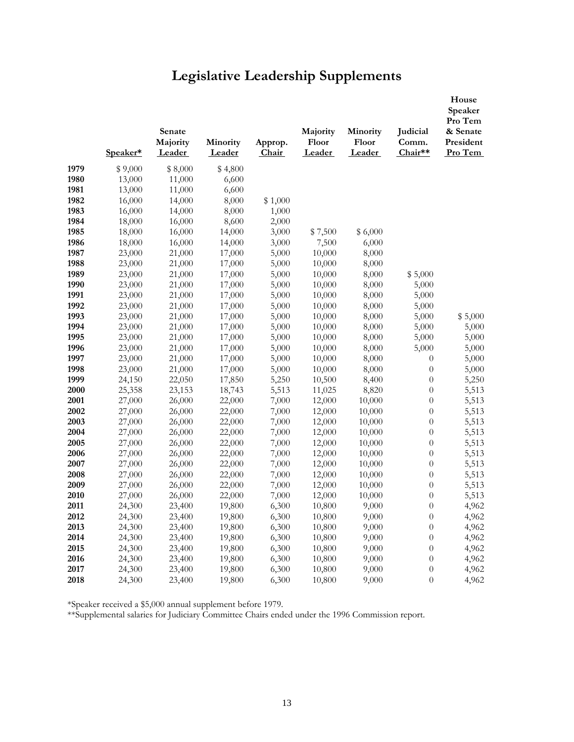# **Legislative Leadership Supplements**

|      | Speaker* | Senate<br>Majority<br>Leader | Minority<br>Leader | Approp.<br>Chair | Majority<br>Floor<br>Leader | Minority<br>Floor<br>Leader | Judicial<br>Comm.<br>Chair** | House<br>Speaker<br>Pro Tem<br>& Senate<br>President<br>Pro Tem |
|------|----------|------------------------------|--------------------|------------------|-----------------------------|-----------------------------|------------------------------|-----------------------------------------------------------------|
| 1979 | \$9,000  | \$8,000                      | \$4,800            |                  |                             |                             |                              |                                                                 |
| 1980 | 13,000   | 11,000                       | 6,600              |                  |                             |                             |                              |                                                                 |
| 1981 | 13,000   | 11,000                       | 6,600              |                  |                             |                             |                              |                                                                 |
| 1982 | 16,000   | 14,000                       | 8,000              | \$1,000          |                             |                             |                              |                                                                 |
| 1983 | 16,000   | 14,000                       | 8,000              | 1,000            |                             |                             |                              |                                                                 |
| 1984 | 18,000   | 16,000                       | 8,600              | 2,000            |                             |                             |                              |                                                                 |
| 1985 | 18,000   | 16,000                       | 14,000             | 3,000            | \$7,500                     | \$6,000                     |                              |                                                                 |
| 1986 | 18,000   | 16,000                       | 14,000             | 3,000            | 7,500                       | 6,000                       |                              |                                                                 |
| 1987 | 23,000   | 21,000                       | 17,000             | 5,000            | 10,000                      | 8,000                       |                              |                                                                 |
| 1988 | 23,000   | 21,000                       | 17,000             | 5,000            | 10,000                      | 8,000                       |                              |                                                                 |
| 1989 | 23,000   | 21,000                       | 17,000             | 5,000            | 10,000                      | 8,000                       | \$5,000                      |                                                                 |
| 1990 | 23,000   | 21,000                       | 17,000             | 5,000            | 10,000                      | 8,000                       | 5,000                        |                                                                 |
| 1991 | 23,000   | 21,000                       | 17,000             | 5,000            | 10,000                      | 8,000                       | 5,000                        |                                                                 |
| 1992 | 23,000   | 21,000                       | 17,000             | 5,000            | 10,000                      | 8,000                       | 5,000                        |                                                                 |
| 1993 | 23,000   | 21,000                       | 17,000             | 5,000            | 10,000                      | 8,000                       | 5,000                        | \$5,000                                                         |
| 1994 | 23,000   | 21,000                       | 17,000             | 5,000            | 10,000                      | 8,000                       | 5,000                        | 5,000                                                           |
| 1995 | 23,000   | 21,000                       | 17,000             | 5,000            | 10,000                      | 8,000                       | 5,000                        | 5,000                                                           |
| 1996 | 23,000   | 21,000                       | 17,000             | 5,000            | 10,000                      | 8,000                       | 5,000                        | 5,000                                                           |
| 1997 | 23,000   | 21,000                       | 17,000             | 5,000            | 10,000                      | 8,000                       | $\theta$                     | 5,000                                                           |
| 1998 | 23,000   | 21,000                       | 17,000             | 5,000            | 10,000                      | 8,000                       | $\theta$                     | 5,000                                                           |
| 1999 | 24,150   | 22,050                       | 17,850             | 5,250            | 10,500                      | 8,400                       | $\theta$                     | 5,250                                                           |
| 2000 | 25,358   | 23,153                       | 18,743             | 5,513            | 11,025                      | 8,820                       | $\boldsymbol{0}$             | 5,513                                                           |
| 2001 | 27,000   | 26,000                       | 22,000             | 7,000            | 12,000                      | 10,000                      | $\boldsymbol{0}$             | 5,513                                                           |
| 2002 | 27,000   | 26,000                       | 22,000             | 7,000            | 12,000                      | 10,000                      | $\boldsymbol{0}$             | 5,513                                                           |
| 2003 | 27,000   | 26,000                       | 22,000             | 7,000            | 12,000                      | 10,000                      | $\boldsymbol{0}$             | 5,513                                                           |
| 2004 | 27,000   | 26,000                       | 22,000             | 7,000            | 12,000                      | 10,000                      | $\theta$                     | 5,513                                                           |
| 2005 | 27,000   | 26,000                       | 22,000             | 7,000            | 12,000                      | 10,000                      | $\boldsymbol{0}$             | 5,513                                                           |
| 2006 | 27,000   | 26,000                       | 22,000             | 7,000            | 12,000                      | 10,000                      | $\boldsymbol{0}$             | 5,513                                                           |
| 2007 | 27,000   | 26,000                       | 22,000             | 7,000            | 12,000                      | 10,000                      | $\boldsymbol{0}$             | 5,513                                                           |
| 2008 | 27,000   | 26,000                       | 22,000             | 7,000            | 12,000                      | 10,000                      | $\boldsymbol{0}$             | 5,513                                                           |
| 2009 | 27,000   | 26,000                       | 22,000             | 7,000            | 12,000                      | 10,000                      | $\boldsymbol{0}$             | 5,513                                                           |
| 2010 | 27,000   | 26,000                       | 22,000             | 7,000            | 12,000                      | 10,000                      | $\boldsymbol{0}$             | 5,513                                                           |
| 2011 | 24,300   | 23,400                       | 19,800             | 6,300            | 10,800                      | 9,000                       | $\overline{0}$               | 4,962                                                           |
| 2012 | 24,300   | 23,400                       | 19,800             | 6,300            | 10,800                      | 9,000                       | $\boldsymbol{0}$             | 4,962                                                           |
| 2013 | 24,300   | 23,400                       | 19,800             | 6,300            | 10,800                      | 9,000                       | $\theta$                     | 4,962                                                           |
| 2014 | 24,300   | 23,400                       | 19,800             | 6,300            | 10,800                      | 9,000                       | $\theta$                     | 4,962                                                           |
| 2015 | 24,300   | 23,400                       | 19,800             | 6,300            | 10,800                      | 9,000                       | $\theta$                     | 4,962                                                           |
| 2016 | 24,300   | 23,400                       | 19,800             | 6,300            | 10,800                      | 9,000                       | $\boldsymbol{0}$             | 4,962                                                           |
| 2017 | 24,300   | 23,400                       | 19,800             | 6,300            | 10,800                      | 9,000                       | $\boldsymbol{0}$             | 4,962                                                           |
| 2018 | 24,300   | 23,400                       | 19,800             | 6,300            | 10,800                      | 9,000                       | $\boldsymbol{0}$             | 4,962                                                           |

\*Speaker received a \$5,000 annual supplement before 1979.

\*\*Supplemental salaries for Judiciary Committee Chairs ended under the 1996 Commission report.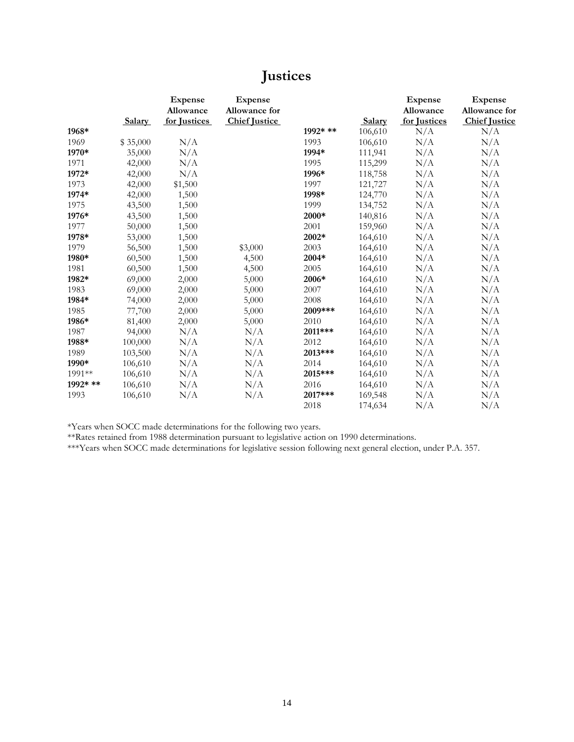## **Justices**

|          | <b>Salary</b> | <b>Expense</b><br>Allowance<br>for Justices | <b>Expense</b><br>Allowance for<br><b>Chief Justice</b> |          | Salary  | <b>Expense</b><br>Allowance<br>for Justices | <b>Expense</b><br>Allowance for<br><b>Chief Justice</b> |
|----------|---------------|---------------------------------------------|---------------------------------------------------------|----------|---------|---------------------------------------------|---------------------------------------------------------|
| 1968*    |               |                                             |                                                         | 1992* ** | 106,610 | N/A                                         | N/A                                                     |
| 1969     | \$35,000      | N/A                                         |                                                         | 1993     | 106,610 | N/A                                         | N/A                                                     |
| 1970*    | 35,000        | N/A                                         |                                                         | 1994*    | 111,941 | N/A                                         | N/A                                                     |
| 1971     | 42,000        | N/A                                         |                                                         | 1995     | 115,299 | N/A                                         | N/A                                                     |
| 1972*    | 42,000        | N/A                                         |                                                         | 1996*    | 118,758 | N/A                                         | N/A                                                     |
| 1973     | 42,000        | \$1,500                                     |                                                         | 1997     | 121,727 | N/A                                         | N/A                                                     |
| 1974*    | 42,000        | 1,500                                       |                                                         | 1998*    | 124,770 | N/A                                         | N/A                                                     |
| 1975     | 43,500        | 1,500                                       |                                                         | 1999     | 134,752 | N/A                                         | N/A                                                     |
| 1976*    | 43,500        | 1,500                                       |                                                         | 2000*    | 140,816 | N/A                                         | N/A                                                     |
| 1977     | 50,000        | 1,500                                       |                                                         | 2001     | 159,960 | N/A                                         | N/A                                                     |
| 1978*    | 53,000        | 1,500                                       |                                                         | 2002*    | 164,610 | N/A                                         | N/A                                                     |
| 1979     | 56,500        | 1,500                                       | \$3,000                                                 | 2003     | 164,610 | N/A                                         | N/A                                                     |
| 1980*    | 60,500        | 1,500                                       | 4,500                                                   | 2004*    | 164,610 | N/A                                         | N/A                                                     |
| 1981     | 60,500        | 1,500                                       | 4,500                                                   | 2005     | 164,610 | N/A                                         | N/A                                                     |
| 1982*    | 69,000        | 2,000                                       | 5,000                                                   | 2006*    | 164,610 | N/A                                         | N/A                                                     |
| 1983     | 69,000        | 2,000                                       | 5,000                                                   | 2007     | 164,610 | N/A                                         | N/A                                                     |
| 1984*    | 74,000        | 2,000                                       | 5,000                                                   | 2008     | 164,610 | N/A                                         | N/A                                                     |
| 1985     | 77,700        | 2,000                                       | 5,000                                                   | 2009***  | 164,610 | N/A                                         | N/A                                                     |
| 1986*    | 81,400        | 2,000                                       | 5,000                                                   | 2010     | 164,610 | N/A                                         | N/A                                                     |
| 1987     | 94,000        | N/A                                         | N/A                                                     | 2011***  | 164,610 | N/A                                         | N/A                                                     |
| 1988*    | 100,000       | N/A                                         | N/A                                                     | 2012     | 164,610 | N/A                                         | N/A                                                     |
| 1989     | 103,500       | N/A                                         | N/A                                                     | 2013***  | 164,610 | N/A                                         | N/A                                                     |
| 1990*    | 106,610       | N/A                                         | N/A                                                     | 2014     | 164,610 | N/A                                         | N/A                                                     |
| 1991**   | 106,610       | N/A                                         | N/A                                                     | 2015***  | 164,610 | N/A                                         | N/A                                                     |
| 1992* ** | 106,610       | N/A                                         | N/A                                                     | 2016     | 164,610 | N/A                                         | N/A                                                     |
| 1993     | 106,610       | N/A                                         | N/A                                                     | 2017***  | 169,548 | N/A                                         | N/A                                                     |
|          |               |                                             |                                                         | 2018     | 174,634 | N/A                                         | N/A                                                     |

\*Years when SOCC made determinations for the following two years.

\*\*Rates retained from 1988 determination pursuant to legislative action on 1990 determinations.